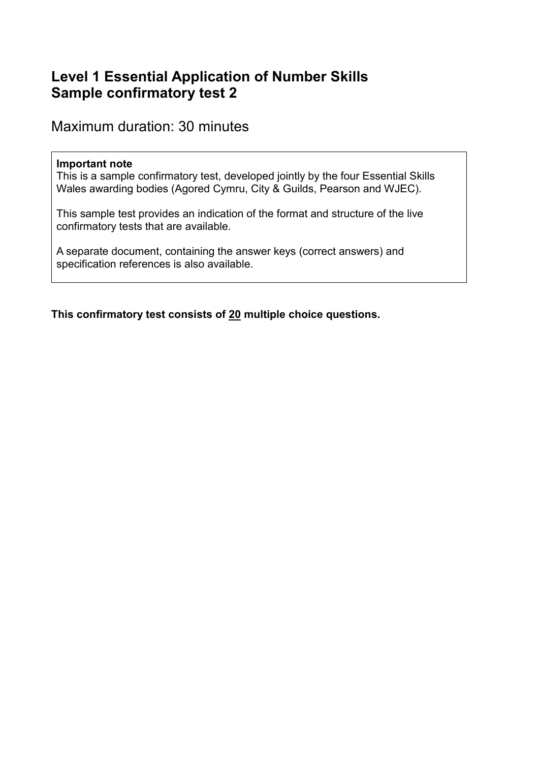# **Level 1 Essential Application of Number Skills Sample confirmatory test 2**

Maximum duration: 30 minutes

#### **Important note**

This is a sample confirmatory test, developed jointly by the four Essential Skills Wales awarding bodies (Agored Cymru, City & Guilds, Pearson and WJEC).

This sample test provides an indication of the format and structure of the live confirmatory tests that are available.

A separate document, containing the answer keys (correct answers) and specification references is also available.

**This confirmatory test consists of 20 multiple choice questions.**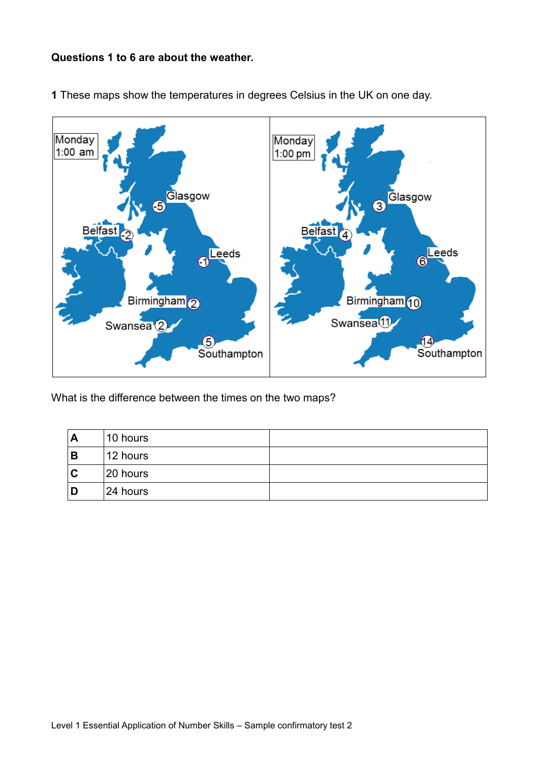#### **Questions 1 to 6 are about the weather.**



**1** These maps show the temperatures in degrees Celsius in the UK on one day.

What is the difference between the times on the two maps?

| A | 10 hours |  |
|---|----------|--|
| B | 12 hours |  |
| C | 20 hours |  |
| D | 24 hours |  |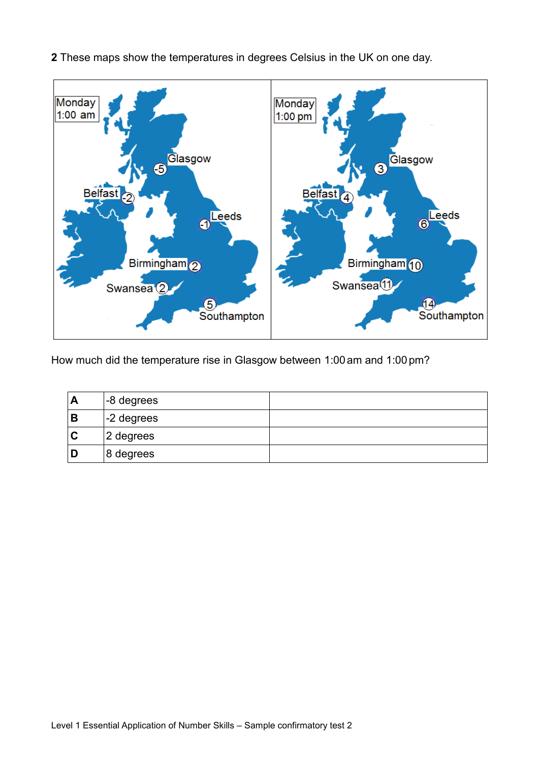

**2** These maps show the temperatures in degrees Celsius in the UK on one day.

How much did the temperature rise in Glasgow between 1:00 am and 1:00 pm?

| A | -8 degrees   |  |
|---|--------------|--|
| В | $-2$ degrees |  |
|   | 2 degrees    |  |
| D | 8 degrees    |  |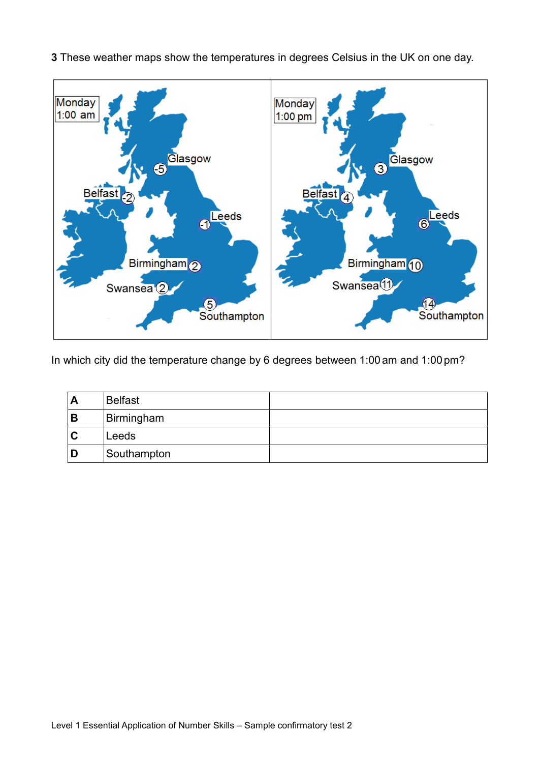

**3** These weather maps show the temperatures in degrees Celsius in the UK on one day.

In which city did the temperature change by 6 degrees between 1:00 am and 1:00pm?

| A           | <b>Belfast</b> |  |
|-------------|----------------|--|
| B           | Birmingham     |  |
| $\mathbf C$ | Leeds          |  |
| D           | Southampton    |  |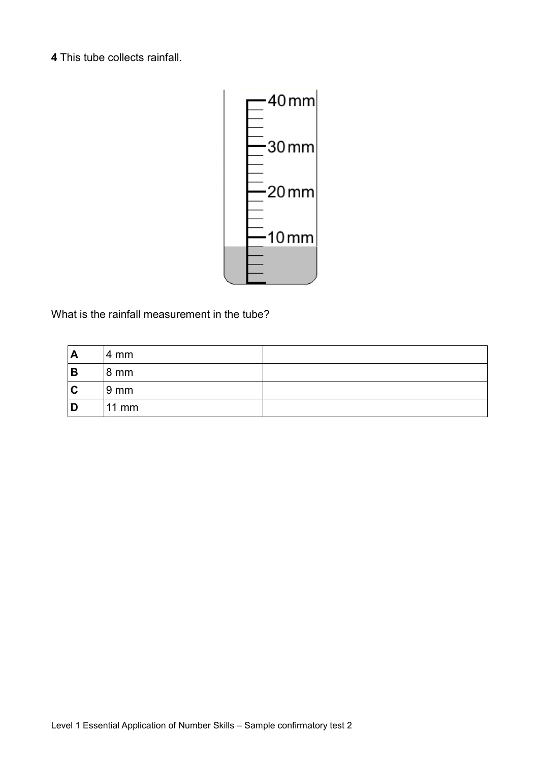**4** This tube collects rainfall.



What is the rainfall measurement in the tube?

| A | 4 mm            |  |
|---|-----------------|--|
| B | 8 mm            |  |
| C | 9 <sub>mm</sub> |  |
| D | $11$ mm         |  |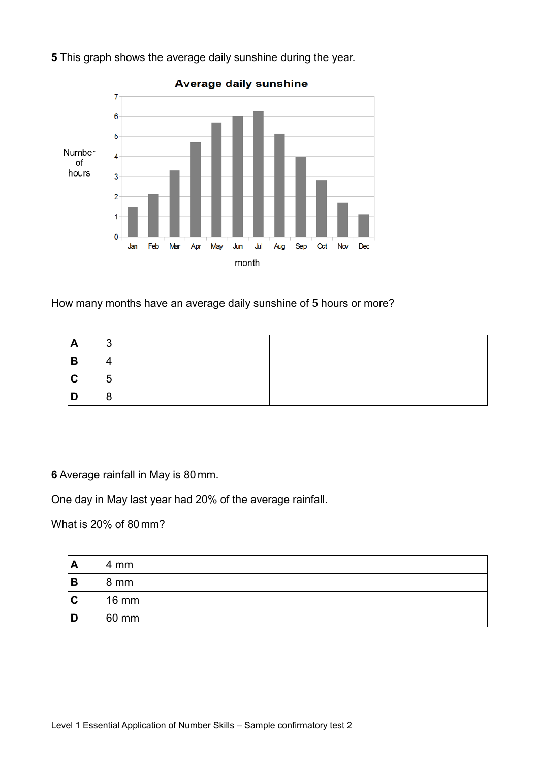

**5** This graph shows the average daily sunshine during the year.

How many months have an average daily sunshine of 5 hours or more?

| A           | -2<br>◡        |  |
|-------------|----------------|--|
| B           | 4              |  |
| $\mathbf C$ | $\overline{5}$ |  |
| n           | 8              |  |

**6** Average rainfall in May is 80 mm.

One day in May last year had 20% of the average rainfall.

What is 20% of 80mm?

| A | 4 mm            |  |
|---|-----------------|--|
| B | 8 mm            |  |
| C | $16 \text{ mm}$ |  |
|   | 60 mm           |  |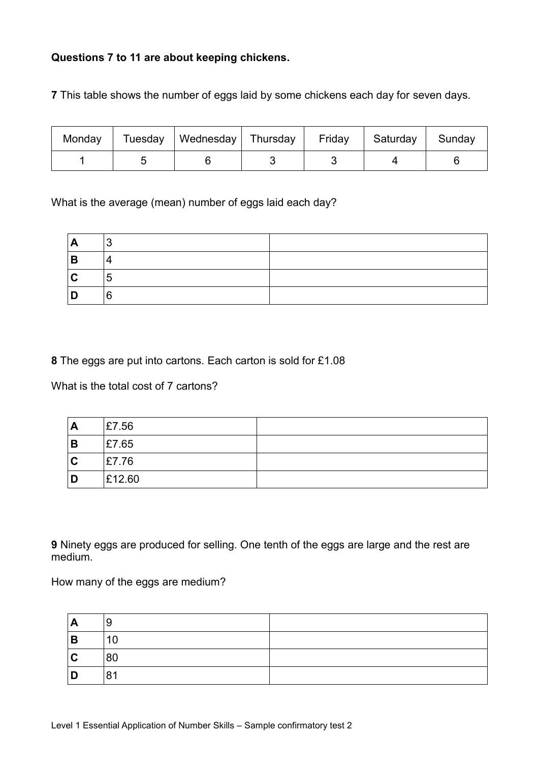## **Questions 7 to 11 are about keeping chickens.**

**7** This table shows the number of eggs laid by some chickens each day for seven days.

| Monday | Tuesday   Wednesday   Thursday | July Friday | Saturday | Sunday |
|--------|--------------------------------|-------------|----------|--------|
|        |                                |             |          |        |

What is the average (mean) number of eggs laid each day?

| A            | ∣ ຊ<br>$\overline{\phantom{a}}$ |  |
|--------------|---------------------------------|--|
| B            | 4                               |  |
| $\mathbf{C}$ | -<br>'၁                         |  |
| D            | 6                               |  |

**8** The eggs are put into cartons. Each carton is sold for £1.08

What is the total cost of 7 cartons?

| Α           | £7.56  |  |
|-------------|--------|--|
| В           | £7.65  |  |
| $\mathbf C$ | £7.76  |  |
| D           | £12.60 |  |

**9** Ninety eggs are produced for selling. One tenth of the eggs are large and the rest are medium.

How many of the eggs are medium?

| $\overline{\mathsf{A}}$ | 9  |  |
|-------------------------|----|--|
| $\overline{B}$          | 10 |  |
| $\mathbf C$             | 80 |  |
| D                       | 81 |  |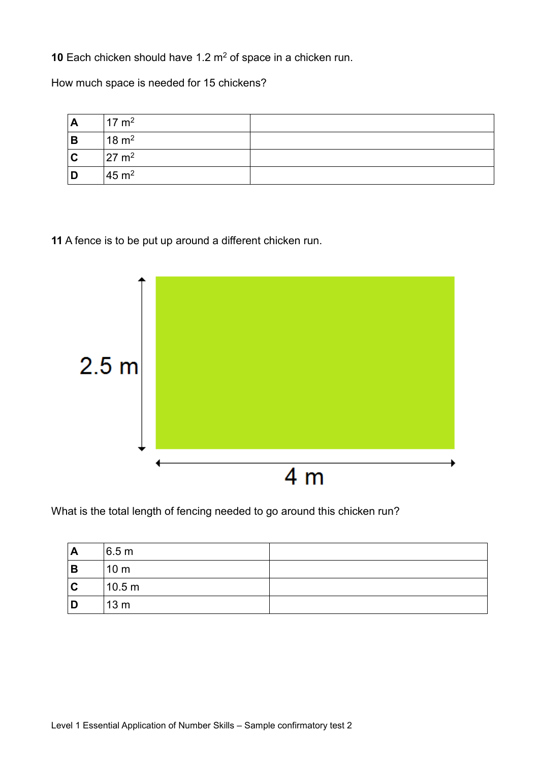**10** Each chicken should have 1.2 m<sup>2</sup> of space in a chicken run.

How much space is needed for 15 chickens?

| $\mathbf{A}$ | $17 \text{ m}^2$ |  |
|--------------|------------------|--|
| B            | $18 \text{ m}^2$ |  |
| $\mathbf{C}$ | $27 \text{ m}^2$ |  |
| D            | $45 \text{ m}^2$ |  |

**11** A fence is to be put up around a different chicken run.



What is the total length of fencing needed to go around this chicken run?

| A | 6.5 m             |  |
|---|-------------------|--|
| В | 10 <sub>m</sub>   |  |
| C | 10.5 <sub>m</sub> |  |
| D | 13 <sub>m</sub>   |  |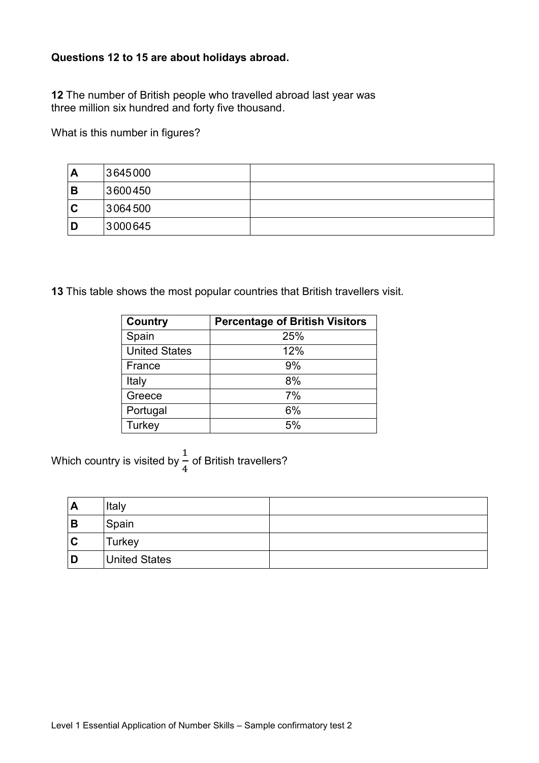## **Questions 12 to 15 are about holidays abroad.**

**12** The number of British people who travelled abroad last year was three million six hundred and forty five thousand.

What is this number in figures?

| A | 3645000 |  |
|---|---------|--|
| B | 3600450 |  |
| C | 3064500 |  |
| D | 3000645 |  |

**13** This table shows the most popular countries that British travellers visit.

| <b>Country</b>       | <b>Percentage of British Visitors</b> |
|----------------------|---------------------------------------|
| Spain                | 25%                                   |
| <b>United States</b> | 12%                                   |
| France               | 9%                                    |
| Italy                | 8%                                    |
| Greece               | 7%                                    |
| Portugal             | 6%                                    |
| Turkey               | 5%                                    |

Which country is visited by 1 4 of British travellers?

| A | Italy                |  |
|---|----------------------|--|
| B | Spain                |  |
| C | Turkey               |  |
| D | <b>United States</b> |  |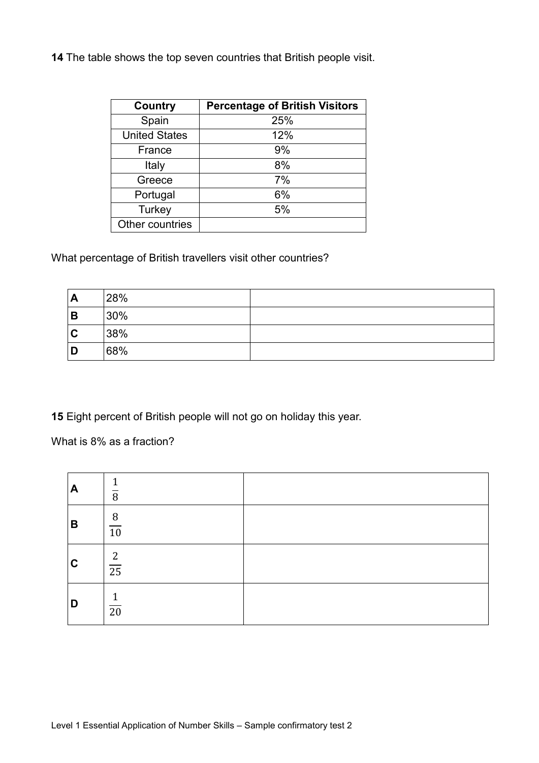**14** The table shows the top seven countries that British people visit.

| <b>Country</b>       | <b>Percentage of British Visitors</b> |
|----------------------|---------------------------------------|
| Spain                | 25%                                   |
| <b>United States</b> | 12%                                   |
| France               | 9%                                    |
| Italy                | 8%                                    |
| Greece               | 7%                                    |
| Portugal             | 6%                                    |
| Turkey               | 5%                                    |
| Other countries      |                                       |

## What percentage of British travellers visit other countries?

| $\mathbf{A}$ | 28% |  |
|--------------|-----|--|
| B            | 30% |  |
| $\mathbf C$  | 38% |  |
| D            | 68% |  |

**15** Eight percent of British people will not go on holiday this year.

What is 8% as a fraction?

| A           | 1<br>$\overline{8}$               |  |
|-------------|-----------------------------------|--|
| B           | 8<br>$\overline{10}$              |  |
| $\mathbf c$ | $\overline{c}$<br>$\overline{25}$ |  |
| D           | 1<br>$\overline{20}$              |  |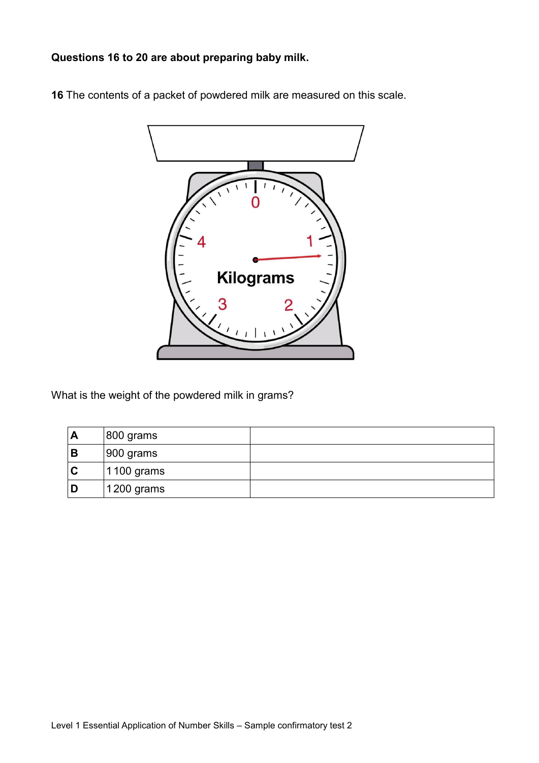**Questions 16 to 20 are about preparing baby milk.**

**16** The contents of a packet of powdered milk are measured on this scale.



What is the weight of the powdered milk in grams?

| A | $ 800$ grams          |  |
|---|-----------------------|--|
| В | $ 900 \text{ grams} $ |  |
|   | 1100 grams            |  |
|   | 1200 grams            |  |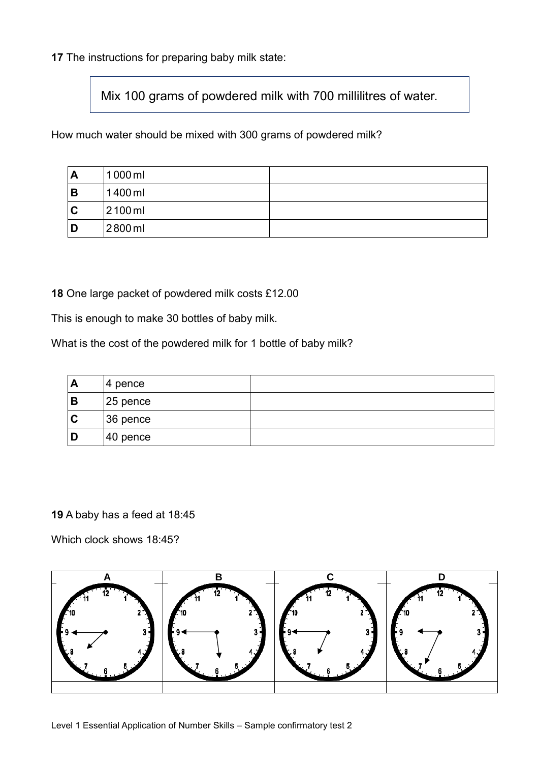**17** The instructions for preparing baby milk state:

Mix 100 grams of powdered milk with 700 millilitres of water.

How much water should be mixed with 300 grams of powdered milk?

| A | 1000 ml   |  |
|---|-----------|--|
| B | 1400 ml   |  |
| C | $2100$ ml |  |
| D | 2800 ml   |  |

**18** One large packet of powdered milk costs £12.00

This is enough to make 30 bottles of baby milk.

What is the cost of the powdered milk for 1 bottle of baby milk?

| Α | ∣4 pence    |  |
|---|-------------|--|
| B | $ 25$ pence |  |
| C | $36$ pence  |  |
| D | 40 pence    |  |

**19** A baby has a feed at 18:45

Which clock shows 18:45?